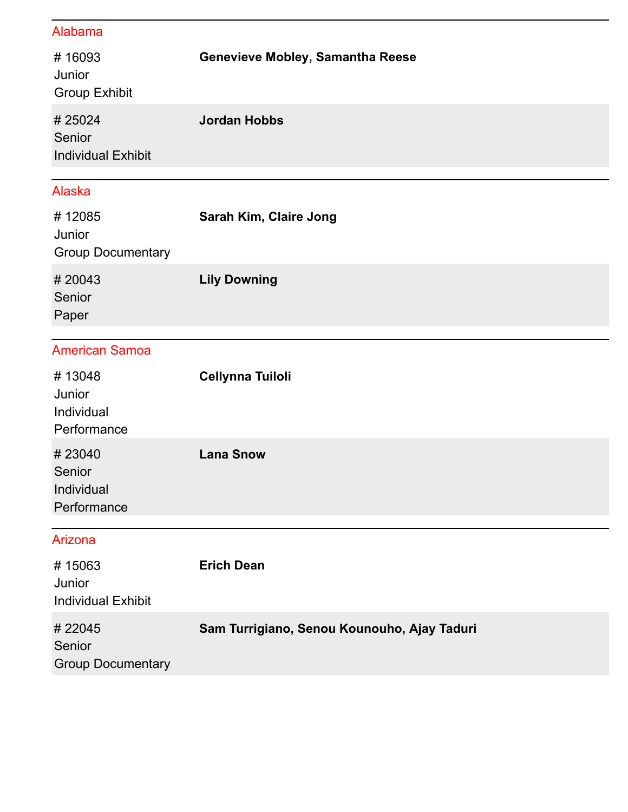## Alabama

| #16093<br>Junior<br><b>Group Exhibit</b>      | Genevieve Mobley, Samantha Reese            |
|-----------------------------------------------|---------------------------------------------|
| #25024<br>Senior<br><b>Individual Exhibit</b> | <b>Jordan Hobbs</b>                         |
| <b>Alaska</b>                                 |                                             |
| #12085<br>Junior<br><b>Group Documentary</b>  | Sarah Kim, Claire Jong                      |
| #20043<br>Senior<br>Paper                     | <b>Lily Downing</b>                         |
| <b>American Samoa</b>                         |                                             |
| #13048<br>Junior<br>Individual<br>Performance | <b>Cellynna Tuiloli</b>                     |
| #23040<br>Senior<br>Individual<br>Performance | <b>Lana Snow</b>                            |
| Arizona                                       |                                             |
| #15063<br>Junior<br><b>Individual Exhibit</b> | <b>Erich Dean</b>                           |
| #22045<br>Senior<br><b>Group Documentary</b>  | Sam Turrigiano, Senou Kounouho, Ajay Taduri |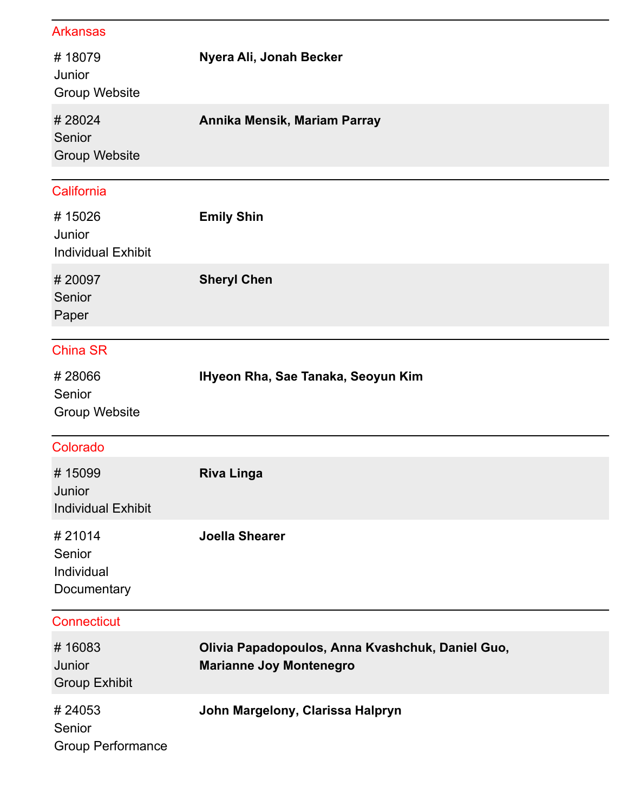## Arkansas

| #18079<br>Junior<br><b>Group Website</b>      | Nyera Ali, Jonah Becker                                                            |
|-----------------------------------------------|------------------------------------------------------------------------------------|
| #28024<br>Senior<br><b>Group Website</b>      | Annika Mensik, Mariam Parray                                                       |
| California                                    |                                                                                    |
| #15026<br>Junior<br><b>Individual Exhibit</b> | <b>Emily Shin</b>                                                                  |
| #20097<br>Senior<br>Paper                     | <b>Sheryl Chen</b>                                                                 |
| <b>China SR</b>                               |                                                                                    |
| #28066<br>Senior<br><b>Group Website</b>      | IHyeon Rha, Sae Tanaka, Seoyun Kim                                                 |
| Colorado                                      |                                                                                    |
| #15099<br>Junior<br><b>Individual Exhibit</b> | <b>Riva Linga</b>                                                                  |
| #21014<br>Senior<br>Individual<br>Documentary | <b>Joella Shearer</b>                                                              |
| <b>Connecticut</b>                            |                                                                                    |
| #16083<br>Junior<br><b>Group Exhibit</b>      | Olivia Papadopoulos, Anna Kvashchuk, Daniel Guo,<br><b>Marianne Joy Montenegro</b> |
| #24053<br>Senior<br><b>Group Performance</b>  | John Margelony, Clarissa Halpryn                                                   |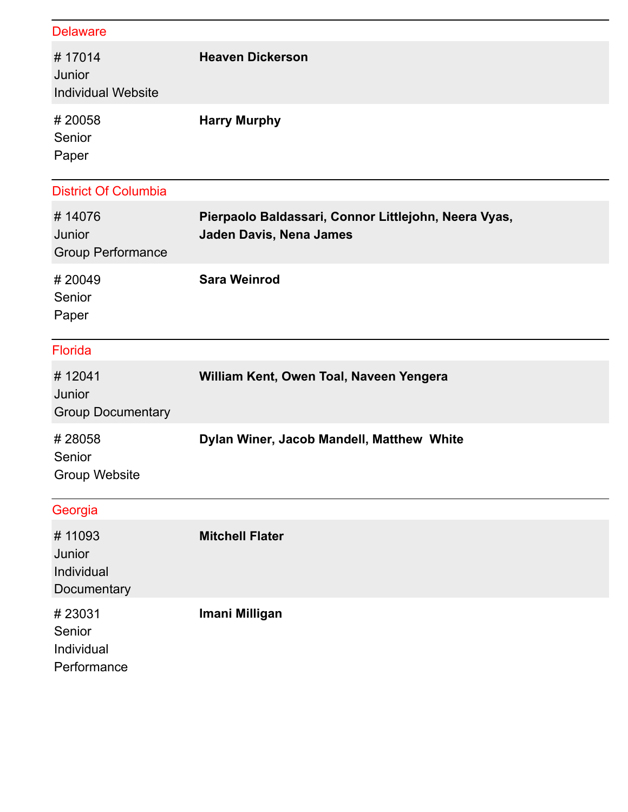| <b>Delaware</b>                               |                                                                                 |
|-----------------------------------------------|---------------------------------------------------------------------------------|
| #17014<br>Junior<br><b>Individual Website</b> | <b>Heaven Dickerson</b>                                                         |
| #20058<br>Senior<br>Paper                     | <b>Harry Murphy</b>                                                             |
| <b>District Of Columbia</b>                   |                                                                                 |
| #14076<br>Junior<br><b>Group Performance</b>  | Pierpaolo Baldassari, Connor Littlejohn, Neera Vyas,<br>Jaden Davis, Nena James |
| #20049<br>Senior<br>Paper                     | <b>Sara Weinrod</b>                                                             |
| <b>Florida</b>                                |                                                                                 |
| #12041<br>Junior<br><b>Group Documentary</b>  | William Kent, Owen Toal, Naveen Yengera                                         |
| #28058<br>Senior<br><b>Group Website</b>      | Dylan Winer, Jacob Mandell, Matthew White                                       |
| Georgia                                       |                                                                                 |
| #11093<br>Junior<br>Individual<br>Documentary | <b>Mitchell Flater</b>                                                          |
| #23031<br>Senior<br>Individual                | Imani Milligan                                                                  |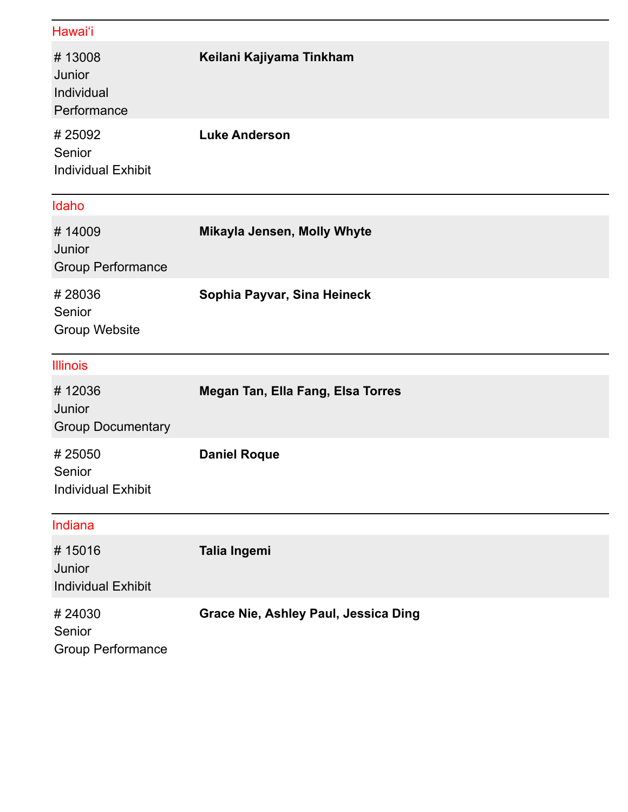## Hawai'i

| #13008<br>Junior<br>Individual<br>Performance | Keilani Kajiyama Tinkham          |
|-----------------------------------------------|-----------------------------------|
| #25092<br>Senior<br><b>Individual Exhibit</b> | <b>Luke Anderson</b>              |
| Idaho                                         |                                   |
| #14009<br>Junior<br><b>Group Performance</b>  | Mikayla Jensen, Molly Whyte       |
| #28036<br>Senior<br><b>Group Website</b>      | Sophia Payvar, Sina Heineck       |
| <b>Illinois</b>                               |                                   |
| #12036<br>Junior<br><b>Group Documentary</b>  | Megan Tan, Ella Fang, Elsa Torres |
| #25050<br>Senior<br><b>Individual Exhibit</b> | <b>Daniel Roque</b>               |
| Indiana                                       |                                   |
| #15016<br>Junior<br><b>Individual Exhibit</b> | Talia Ingemi                      |
| #24030                                        |                                   |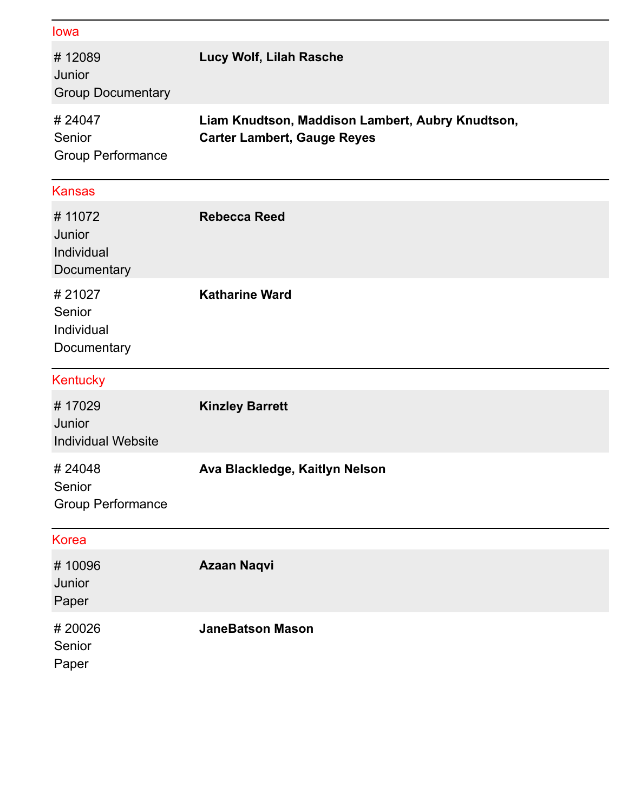| lowa                                          |                                                                                        |
|-----------------------------------------------|----------------------------------------------------------------------------------------|
| #12089<br>Junior<br><b>Group Documentary</b>  | Lucy Wolf, Lilah Rasche                                                                |
| # 24047<br>Senior<br><b>Group Performance</b> | Liam Knudtson, Maddison Lambert, Aubry Knudtson,<br><b>Carter Lambert, Gauge Reyes</b> |
| <b>Kansas</b>                                 |                                                                                        |
| #11072<br>Junior<br>Individual<br>Documentary | <b>Rebecca Reed</b>                                                                    |
| #21027<br>Senior<br>Individual                | <b>Katharine Ward</b>                                                                  |
| Documentary                                   |                                                                                        |
| Kentucky                                      |                                                                                        |
| #17029<br>Junior<br><b>Individual Website</b> | <b>Kinzley Barrett</b>                                                                 |
| #24048<br>Senior<br><b>Group Performance</b>  | Ava Blackledge, Kaitlyn Nelson                                                         |
| <b>Korea</b>                                  |                                                                                        |
| #10096<br>Junior<br>Paper                     | <b>Azaan Naqvi</b>                                                                     |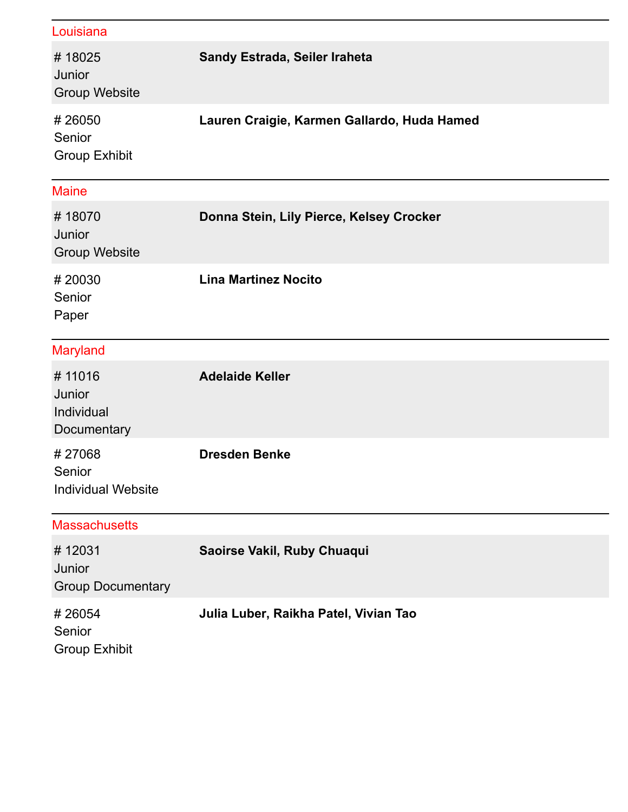| Louisiana                                     |                                             |
|-----------------------------------------------|---------------------------------------------|
| #18025<br>Junior<br><b>Group Website</b>      | Sandy Estrada, Seiler Iraheta               |
| #26050<br>Senior<br><b>Group Exhibit</b>      | Lauren Craigie, Karmen Gallardo, Huda Hamed |
| <b>Maine</b>                                  |                                             |
| #18070<br>Junior<br><b>Group Website</b>      | Donna Stein, Lily Pierce, Kelsey Crocker    |
| #20030<br>Senior<br>Paper                     | <b>Lina Martinez Nocito</b>                 |
| <b>Maryland</b>                               |                                             |
| #11016<br>Junior<br>Individual<br>Documentary | <b>Adelaide Keller</b>                      |
| #27068<br>Senior<br><b>Individual Website</b> | <b>Dresden Benke</b>                        |
| <b>Massachusetts</b>                          |                                             |
| #12031<br>Junior<br><b>Group Documentary</b>  | Saoirse Vakil, Ruby Chuaqui                 |
| #26054<br>Senior<br><b>Group Exhibit</b>      | Julia Luber, Raikha Patel, Vivian Tao       |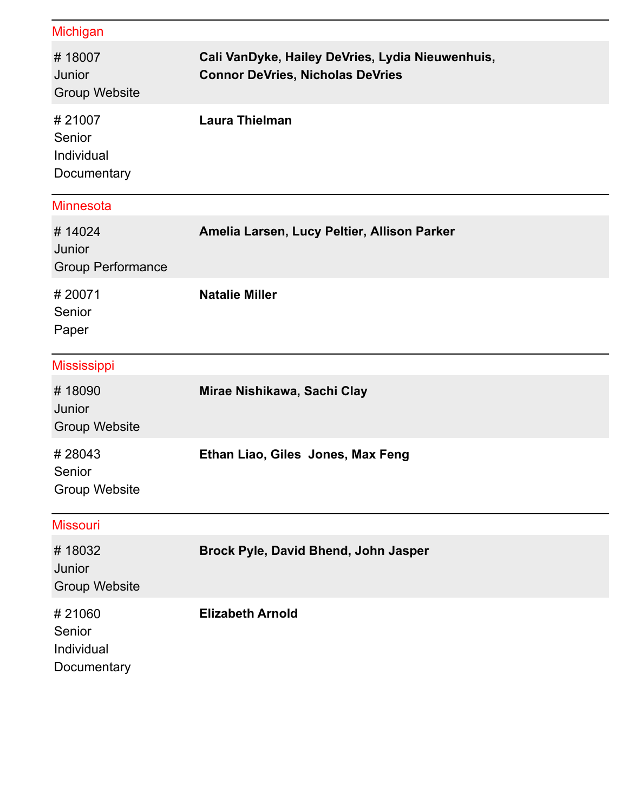| <b>Michigan</b>                               |                                                                                             |
|-----------------------------------------------|---------------------------------------------------------------------------------------------|
| #18007<br>Junior<br><b>Group Website</b>      | Cali VanDyke, Hailey DeVries, Lydia Nieuwenhuis,<br><b>Connor DeVries, Nicholas DeVries</b> |
| #21007<br>Senior<br>Individual<br>Documentary | <b>Laura Thielman</b>                                                                       |
| <b>Minnesota</b>                              |                                                                                             |
| #14024<br>Junior<br><b>Group Performance</b>  | Amelia Larsen, Lucy Peltier, Allison Parker                                                 |
| #20071<br>Senior<br>Paper                     | <b>Natalie Miller</b>                                                                       |
| <b>Mississippi</b>                            |                                                                                             |
| #18090<br>Junior<br><b>Group Website</b>      | Mirae Nishikawa, Sachi Clay                                                                 |
| #28043<br>Senior<br><b>Group Website</b>      | Ethan Liao, Giles Jones, Max Feng                                                           |
| <b>Missouri</b>                               |                                                                                             |
| #18032<br>Junior<br><b>Group Website</b>      | Brock Pyle, David Bhend, John Jasper                                                        |
| #21060<br>Senior<br>Individual<br>Documentary | <b>Elizabeth Arnold</b>                                                                     |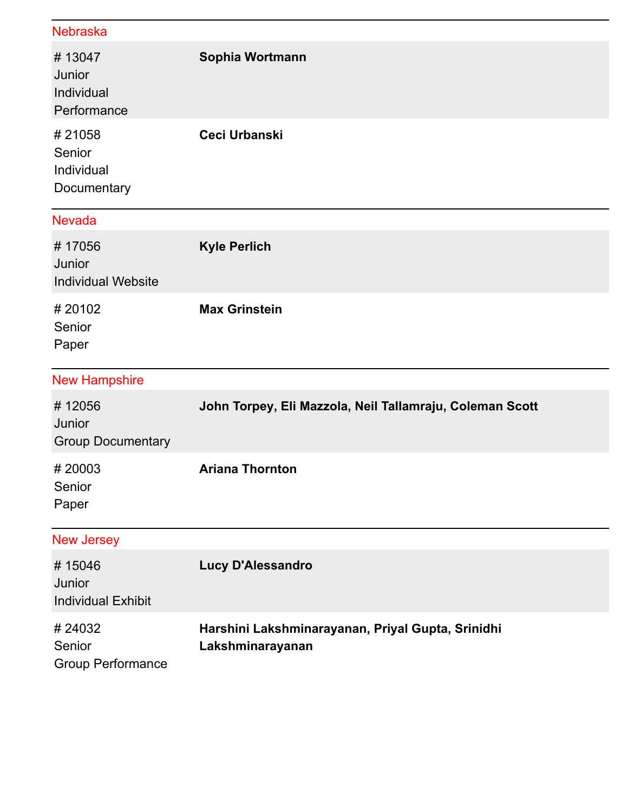| <b>Nebraska</b>                               |                                                                       |
|-----------------------------------------------|-----------------------------------------------------------------------|
| #13047<br>Junior<br>Individual<br>Performance | Sophia Wortmann                                                       |
| #21058<br>Senior<br>Individual<br>Documentary | <b>Ceci Urbanski</b>                                                  |
| <b>Nevada</b>                                 |                                                                       |
| #17056<br>Junior<br><b>Individual Website</b> | <b>Kyle Perlich</b>                                                   |
| #20102<br>Senior<br>Paper                     | <b>Max Grinstein</b>                                                  |
| <b>New Hampshire</b>                          |                                                                       |
| #12056<br>Junior<br><b>Group Documentary</b>  | John Torpey, Eli Mazzola, Neil Tallamraju, Coleman Scott              |
| #20003<br>Senior<br>Paper                     | <b>Ariana Thornton</b>                                                |
| <b>New Jersey</b>                             |                                                                       |
| #15046<br>Junior<br><b>Individual Exhibit</b> | <b>Lucy D'Alessandro</b>                                              |
| #24032<br>Senior<br><b>Group Performance</b>  | Harshini Lakshminarayanan, Priyal Gupta, Srinidhi<br>Lakshminarayanan |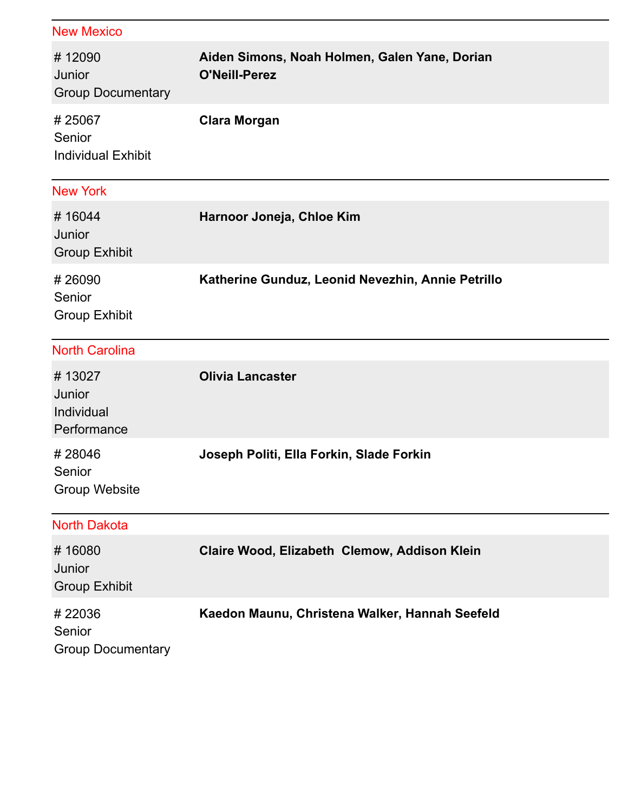| <b>New Mexico</b>                             |                                                                       |
|-----------------------------------------------|-----------------------------------------------------------------------|
| #12090<br>Junior<br><b>Group Documentary</b>  | Aiden Simons, Noah Holmen, Galen Yane, Dorian<br><b>O'Neill-Perez</b> |
| #25067<br>Senior<br><b>Individual Exhibit</b> | <b>Clara Morgan</b>                                                   |
| <b>New York</b>                               |                                                                       |
| #16044<br>Junior<br><b>Group Exhibit</b>      | Harnoor Joneja, Chloe Kim                                             |
| #26090<br>Senior<br><b>Group Exhibit</b>      | Katherine Gunduz, Leonid Nevezhin, Annie Petrillo                     |
| <b>North Carolina</b>                         |                                                                       |
| #13027<br>Junior<br>Individual<br>Performance | <b>Olivia Lancaster</b>                                               |
| #28046<br>Senior<br><b>Group Website</b>      | Joseph Politi, Ella Forkin, Slade Forkin                              |
| <b>North Dakota</b>                           |                                                                       |
| #16080<br>Junior<br><b>Group Exhibit</b>      | Claire Wood, Elizabeth Clemow, Addison Klein                          |
| #22036<br>Senior<br><b>Group Documentary</b>  | Kaedon Maunu, Christena Walker, Hannah Seefeld                        |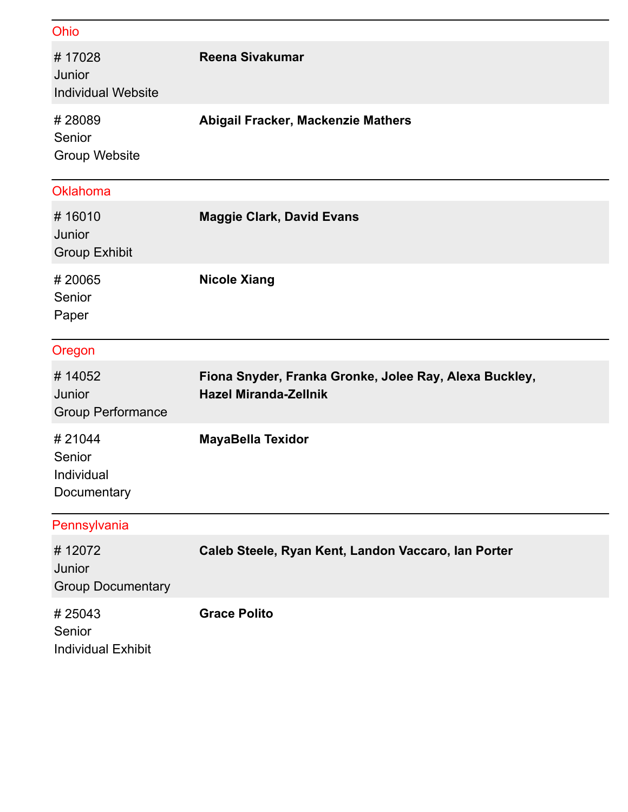| Ohio                                          |                                                                                        |
|-----------------------------------------------|----------------------------------------------------------------------------------------|
| #17028<br>Junior<br><b>Individual Website</b> | <b>Reena Sivakumar</b>                                                                 |
| #28089<br>Senior<br><b>Group Website</b>      | Abigail Fracker, Mackenzie Mathers                                                     |
| Oklahoma                                      |                                                                                        |
| #16010<br>Junior<br><b>Group Exhibit</b>      | <b>Maggie Clark, David Evans</b>                                                       |
| #20065<br>Senior<br>Paper                     | <b>Nicole Xiang</b>                                                                    |
| Oregon                                        |                                                                                        |
| #14052<br>Junior<br><b>Group Performance</b>  | Fiona Snyder, Franka Gronke, Jolee Ray, Alexa Buckley,<br><b>Hazel Miranda-Zellnik</b> |
| #21044<br>Senior<br>Individual<br>Documentary | <b>MayaBella Texidor</b>                                                               |
| Pennsylvania                                  |                                                                                        |
| #12072<br>Junior<br><b>Group Documentary</b>  | Caleb Steele, Ryan Kent, Landon Vaccaro, lan Porter                                    |
| #25043<br>Senior<br><b>Individual Exhibit</b> | <b>Grace Polito</b>                                                                    |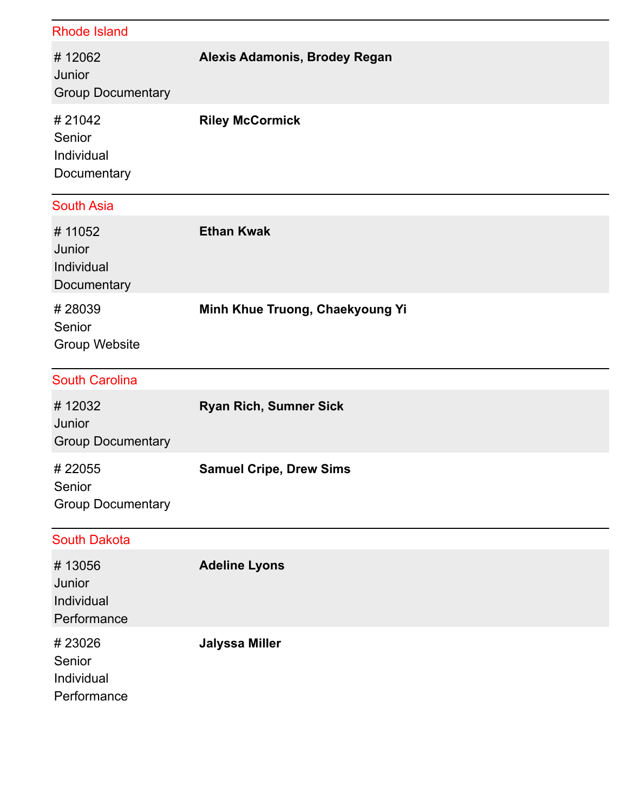| <b>Rhode Island</b>                           |                                 |
|-----------------------------------------------|---------------------------------|
| #12062<br>Junior<br><b>Group Documentary</b>  | Alexis Adamonis, Brodey Regan   |
| #21042<br>Senior<br>Individual<br>Documentary | <b>Riley McCormick</b>          |
| <b>South Asia</b>                             |                                 |
| #11052<br>Junior<br>Individual<br>Documentary | <b>Ethan Kwak</b>               |
| #28039<br>Senior<br><b>Group Website</b>      | Minh Khue Truong, Chaekyoung Yi |
|                                               |                                 |
| <b>South Carolina</b>                         |                                 |
| #12032<br>Junior<br><b>Group Documentary</b>  | <b>Ryan Rich, Sumner Sick</b>   |
| #22055<br>Senior<br><b>Group Documentary</b>  | <b>Samuel Cripe, Drew Sims</b>  |
| <b>South Dakota</b>                           |                                 |
| #13056<br>Junior<br>Individual<br>Performance | <b>Adeline Lyons</b>            |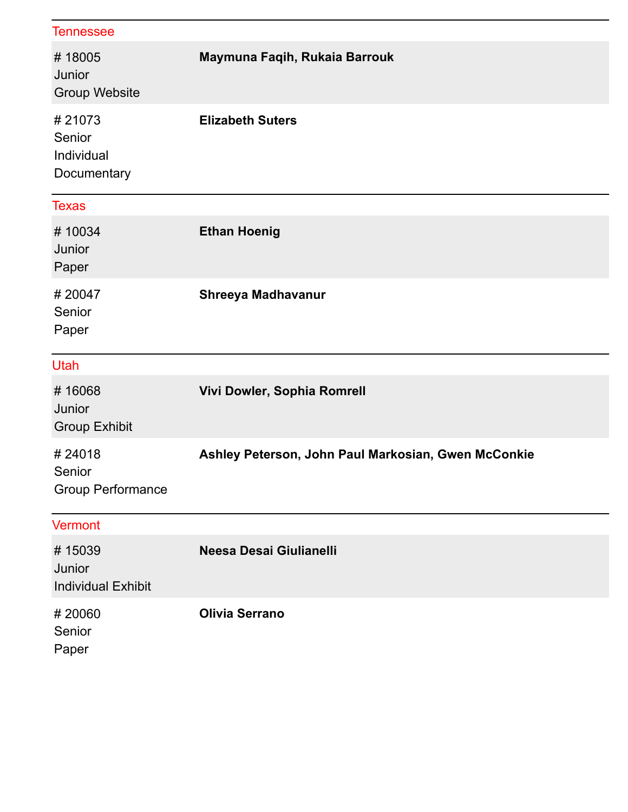| <b>Tennessee</b>                              |                                                     |
|-----------------------------------------------|-----------------------------------------------------|
| #18005<br>Junior<br><b>Group Website</b>      | Maymuna Faqih, Rukaia Barrouk                       |
| #21073<br>Senior<br>Individual<br>Documentary | <b>Elizabeth Suters</b>                             |
| <b>Texas</b>                                  |                                                     |
| #10034<br>Junior<br>Paper                     | <b>Ethan Hoenig</b>                                 |
| #20047<br>Senior<br>Paper                     | Shreeya Madhavanur                                  |
| Utah                                          |                                                     |
| #16068<br>Junior<br><b>Group Exhibit</b>      | Vivi Dowler, Sophia Romrell                         |
| #24018<br>Senior<br><b>Group Performance</b>  | Ashley Peterson, John Paul Markosian, Gwen McConkie |
| <b>Vermont</b>                                |                                                     |
| #15039<br>Junior<br><b>Individual Exhibit</b> | Neesa Desai Giulianelli                             |
| #20060<br>Senior<br>Paper                     | <b>Olivia Serrano</b>                               |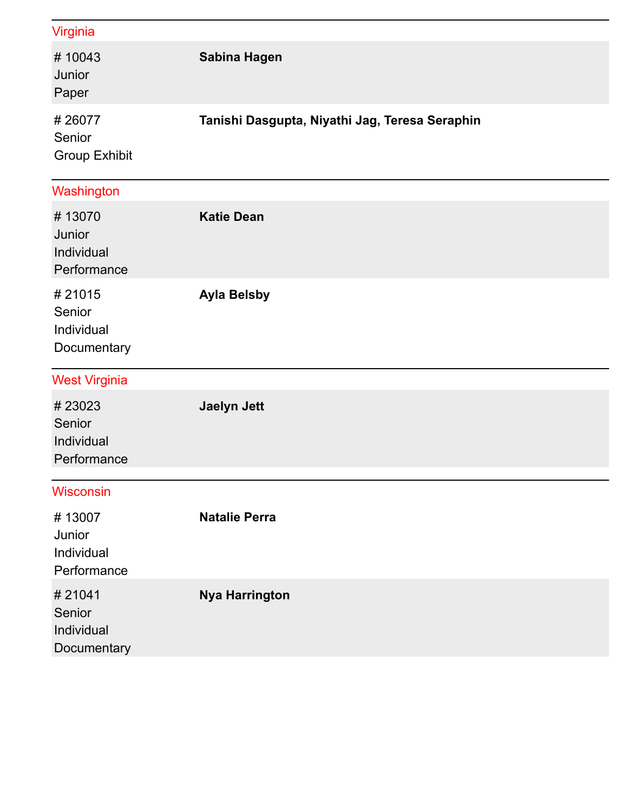| Virginia                                      |                                                |
|-----------------------------------------------|------------------------------------------------|
| #10043<br>Junior<br>Paper                     | Sabina Hagen                                   |
| #26077<br>Senior<br><b>Group Exhibit</b>      | Tanishi Dasgupta, Niyathi Jag, Teresa Seraphin |
| Washington                                    |                                                |
| #13070<br>Junior<br>Individual<br>Performance | <b>Katie Dean</b>                              |
| #21015<br>Senior<br>Individual<br>Documentary | <b>Ayla Belsby</b>                             |
| <b>West Virginia</b>                          |                                                |
| #23023<br>Senior<br>Individual<br>Performance | <b>Jaelyn Jett</b>                             |
| <b>Wisconsin</b>                              |                                                |
| #13007<br>Junior<br>Individual<br>Performance | <b>Natalie Perra</b>                           |
| #21041<br>Senior<br>Individual<br>Documentary | <b>Nya Harrington</b>                          |